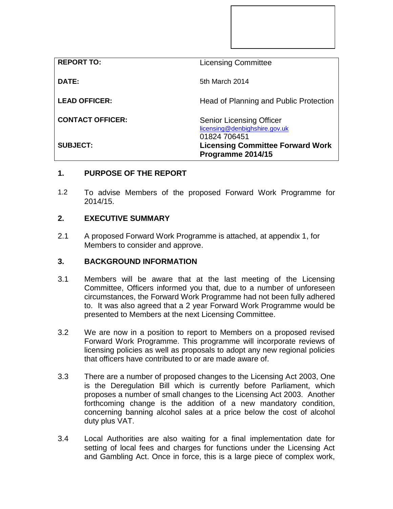| <b>REPORT TO:</b>       | <b>Licensing Committee</b>                                                       |
|-------------------------|----------------------------------------------------------------------------------|
| DATE:                   | 5th March 2014                                                                   |
| <b>LEAD OFFICER:</b>    | Head of Planning and Public Protection                                           |
| <b>CONTACT OFFICER:</b> | <b>Senior Licensing Officer</b><br>licensing@denbighshire.gov.uk<br>01824 706451 |
| <b>SUBJECT:</b>         | <b>Licensing Committee Forward Work</b><br>Programme 2014/15                     |

## **1. PURPOSE OF THE REPORT**

1.2 To advise Members of the proposed Forward Work Programme for 2014/15.

## **2. EXECUTIVE SUMMARY**

2.1 A proposed Forward Work Programme is attached, at appendix 1, for Members to consider and approve.

## **3. BACKGROUND INFORMATION**

- 3.1 Members will be aware that at the last meeting of the Licensing Committee, Officers informed you that, due to a number of unforeseen circumstances, the Forward Work Programme had not been fully adhered to. It was also agreed that a 2 year Forward Work Programme would be presented to Members at the next Licensing Committee.
- 3.2 We are now in a position to report to Members on a proposed revised Forward Work Programme. This programme will incorporate reviews of licensing policies as well as proposals to adopt any new regional policies that officers have contributed to or are made aware of.
- 3.3 There are a number of proposed changes to the Licensing Act 2003, One is the Deregulation Bill which is currently before Parliament, which proposes a number of small changes to the Licensing Act 2003. Another forthcoming change is the addition of a new mandatory condition, concerning banning alcohol sales at a price below the cost of alcohol duty plus VAT.
- 3.4 Local Authorities are also waiting for a final implementation date for setting of local fees and charges for functions under the Licensing Act and Gambling Act. Once in force, this is a large piece of complex work,